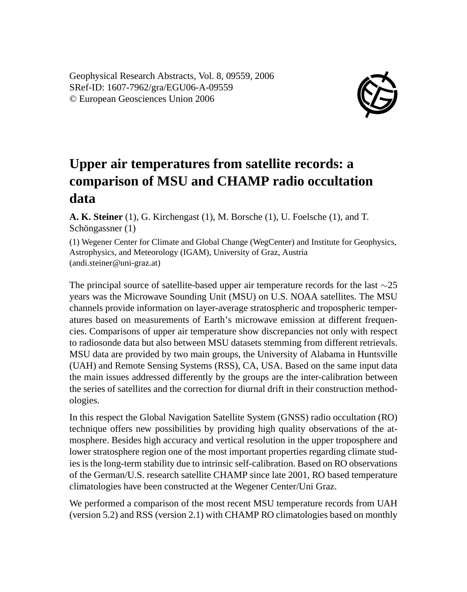Geophysical Research Abstracts, Vol. 8, 09559, 2006 SRef-ID: 1607-7962/gra/EGU06-A-09559 © European Geosciences Union 2006



## **Upper air temperatures from satellite records: a comparison of MSU and CHAMP radio occultation data**

**A. K. Steiner** (1), G. Kirchengast (1), M. Borsche (1), U. Foelsche (1), and T. Schöngassner (1)

(1) Wegener Center for Climate and Global Change (WegCenter) and Institute for Geophysics, Astrophysics, and Meteorology (IGAM), University of Graz, Austria (andi.steiner@uni-graz.at)

The principal source of satellite-based upper air temperature records for the last ∼25 years was the Microwave Sounding Unit (MSU) on U.S. NOAA satellites. The MSU channels provide information on layer-average stratospheric and tropospheric temperatures based on measurements of Earth's microwave emission at different frequencies. Comparisons of upper air temperature show discrepancies not only with respect to radiosonde data but also between MSU datasets stemming from different retrievals. MSU data are provided by two main groups, the University of Alabama in Huntsville (UAH) and Remote Sensing Systems (RSS), CA, USA. Based on the same input data the main issues addressed differently by the groups are the inter-calibration between the series of satellites and the correction for diurnal drift in their construction methodologies.

In this respect the Global Navigation Satellite System (GNSS) radio occultation (RO) technique offers new possibilities by providing high quality observations of the atmosphere. Besides high accuracy and vertical resolution in the upper troposphere and lower stratosphere region one of the most important properties regarding climate studies is the long-term stability due to intrinsic self-calibration. Based on RO observations of the German/U.S. research satellite CHAMP since late 2001, RO based temperature climatologies have been constructed at the Wegener Center/Uni Graz.

We performed a comparison of the most recent MSU temperature records from UAH (version 5.2) and RSS (version 2.1) with CHAMP RO climatologies based on monthly